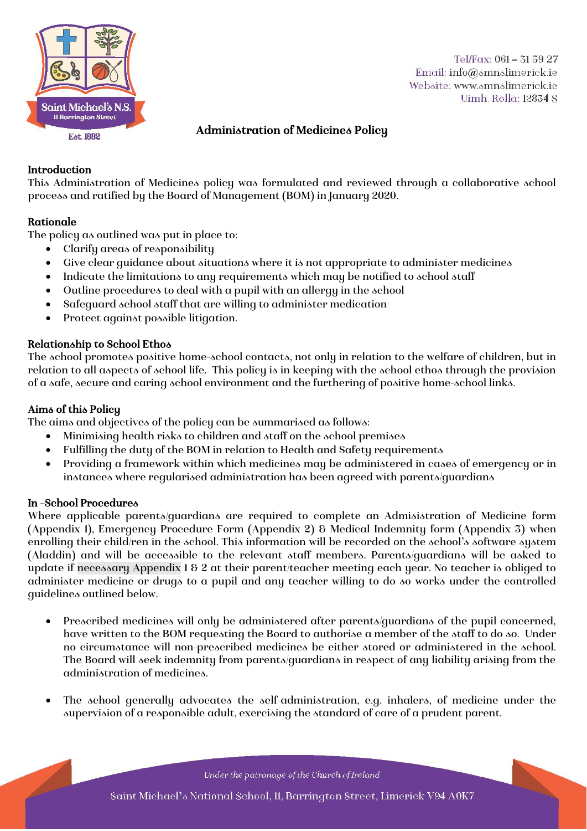

Tel/Fax: 061-315927 Email: info@smnslimerick.ie Website: www.smnslimerick.ie Uimh Rolla: 12834 S

## Administration of Medicines Policy

## Introduction

This Administration of Medicines policy was formulated and reviewed through a collaborative school process and ratified by the Board of Management (BOM) in January 2020.

## Rationale

The policy as outlined was put in place to:

- Clarify areas of responsibility
- Give clear guidance about situations where it is not appropriate to administer medicines
- Indicate the limitations to any requirements which may be notified to school staff
- Outline procedures to deal with a pupil with an allergy in the school
- Safeguard school staff that are willing to administer medication
- Protect against possible litigation.

## Relationship to School Ethos

The school promotes positive home-school contacts, not only in relation to the welfare of children, but in relation to all aspects of school life. This policy is in keeping with the school ethos through the provision of a safe, secure and caring school environment and the furthering of positive home-school links.

## Aims of this Policy

The aims and objectives of the policy can be summarised as follows:

- Minimising health risks to children and staff on the school premises
- Fulfilling the duty of the BOM in relation to Health and Safety requirements
- Providing a framework within which medicines may be administered in cases of emergency or in instances where regularised administration has been agreed with parents/guardians

## In –School Procedures

Where applicable parents/guardians are required to complete an Admisistration of Medicine form (Appendix 1), Emergency Procedure Form (Appendix 2) & Medical Indemnity form (Appendix 3) when enrolling their child/ren in the school. This information will be recorded on the school's software system (Aladdin) and will be accessible to the relevant staff members. Parents/guardians will be asked to update if necessary Appendix 1 & 2 at their parent/teacher meeting each year. No teacher is obliged to administer medicine or drugs to a pupil and any teacher willing to do so works under the controlled guidelines outlined below.

- Prescribed medicines will only be administered after parents/guardians of the pupil concerned, have written to the BOM requesting the Board to authorise a member of the staff to do so. Under no circumstance will non-prescribed medicines be either stored or administered in the school. The Board will seek indemnity from parents/guardians in respect of any liability arising from the administration of medicines.
- The school generally advocates the self-administration, e.g. inhalers, of medicine under the supervision of a responsible adult, exercising the standard of care of a prudent parent.

Under the patronage of the Church of Ireland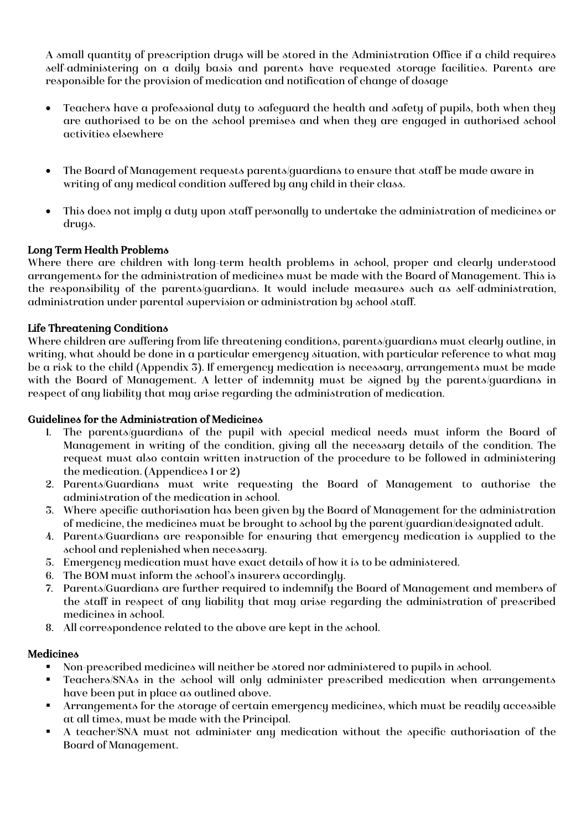A small quantity of prescription drugs will be stored in the Administration Office if a child requires self-administering on a daily basis and parents have requested storage facilities. Parents are responsible for the provision of medication and notification of change of dosage

- Teachers have a professional duty to safeguard the health and safety of pupils, both when they are authorised to be on the school premises and when they are engaged in authorised school activities elsewhere
- The Board of Management requests parents/guardians to ensure that staff be made aware in writing of any medical condition suffered by any child in their class.
- This does not imply a duty upon staff personally to undertake the administration of medicines or drugs.

## Long Term Health Problems

Where there are children with long-term health problems in school, proper and clearly understood arrangements for the administration of medicines must be made with the Board of Management. This is the responsibility of the parents/guardians. It would include measures such as self-administration, administration under parental supervision or administration by school staff.

## Life Threatening Conditions

Where children are suffering from life threatening conditions, parents/guardians must clearly outline, in writing, what should be done in a particular emergency situation, with particular reference to what may be a risk to the child (Appendix 3). If emergency medication is necessary, arrangements must be made with the Board of Management. A letter of indemnity must be signed by the parents/guardians in respect of any liability that may arise regarding the administration of medication.

## Guidelines for the Administration of Medicines

- 1. The parents/guardians of the pupil with special medical needs must inform the Board of Management in writing of the condition, giving all the necessary details of the condition. The request must also contain written instruction of the procedure to be followed in administering the medication. (Appendices 1 or 2)
- 2. Parents/Guardians must write requesting the Board of Management to authorise the administration of the medication in school.
- 3. Where specific authorisation has been given by the Board of Management for the administration of medicine, the medicines must be brought to school by the parent/guardian/designated adult.
- 4. Parents/Guardians are responsible for ensuring that emergency medication is supplied to the school and replenished when necessary.
- 5. Emergency medication must have exact details of how it is to be administered.
- 6. The BOM must inform the school's insurers accordingly.
- 7. Parents/Guardians are further required to indemnify the Board of Management and members of the staff in respect of any liability that may arise regarding the administration of prescribed medicines in school.
- 8. All correspondence related to the above are kept in the school.

## **Medicines**

- Non-prescribed medicines will neither be stored nor administered to pupils in school.
- Teachers/SNAs in the school will only administer prescribed medication when arrangements have been put in place as outlined above.
- Arrangements for the storage of certain emergency medicines, which must be readily accessible at all times, must be made with the Principal.
- A teacher/SNA must not administer any medication without the specific authorisation of the Board of Management.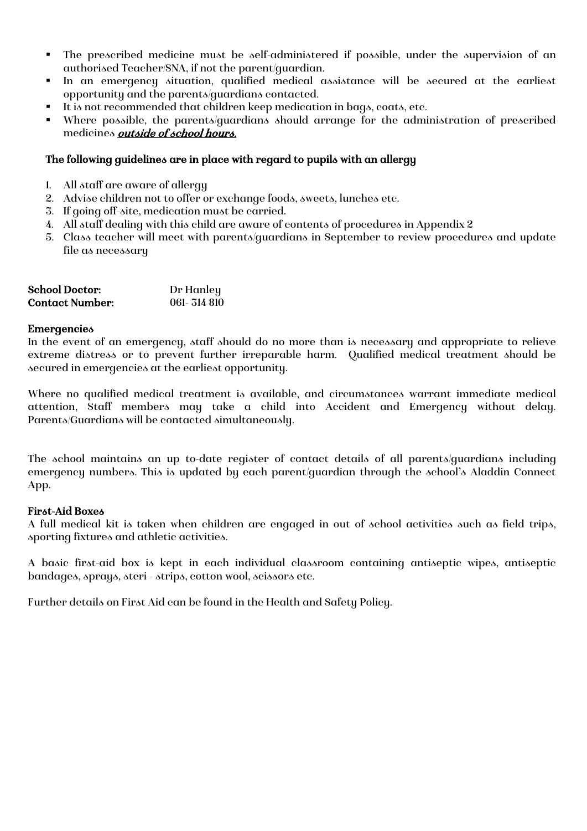- The prescribed medicine must be self-administered if possible, under the supervision of an authorised Teacher/SNA, if not the parent/guardian.
- In an emergency situation, qualified medical assistance will be secured at the earliest opportunity and the parents/guardians contacted.
- It is not recommended that children keep medication in bags, coats, etc.
- Where possible, the parents/guardians should arrange for the administration of prescribed medicines outside of school hours.

## The following guidelines are in place with regard to pupils with an allergy

- 1. All staff are aware of allergy
- 2. Advise children not to offer or exchange foods, sweets, lunches etc.
- 3. If going off-site, medication must be carried.
- 4. All staff dealing with this child are aware of contents of procedures in Appendix 2
- 5. Class teacher will meet with parents/guardians in September to review procedures and update file as necessary

| <b>School Doctor:</b>  | Dr Hanley  |
|------------------------|------------|
| <b>Contact Number:</b> | 061-314810 |

#### **Emergencies**

In the event of an emergency, staff should do no more than is necessary and appropriate to relieve extreme distress or to prevent further irreparable harm. Qualified medical treatment should be secured in emergencies at the earliest opportunity.

Where no qualified medical treatment is available, and circumstances warrant immediate medical attention, Staff members may take a child into Accident and Emergency without delay. Parents/Guardians will be contacted simultaneously.

The school maintains an up to-date register of contact details of all parents/guardians including emergency numbers. This is updated by each parent/guardian through the school's Aladdin Connect App.

## First-Aid Boxes

A full medical kit is taken when children are engaged in out of school activities such as field trips, sporting fixtures and athletic activities.

A basic first-aid box is kept in each individual classroom containing antiseptic wipes, antiseptic bandages, sprays, steri - strips, cotton wool, scissors etc.

Further details on First Aid can be found in the Health and Safety Policy.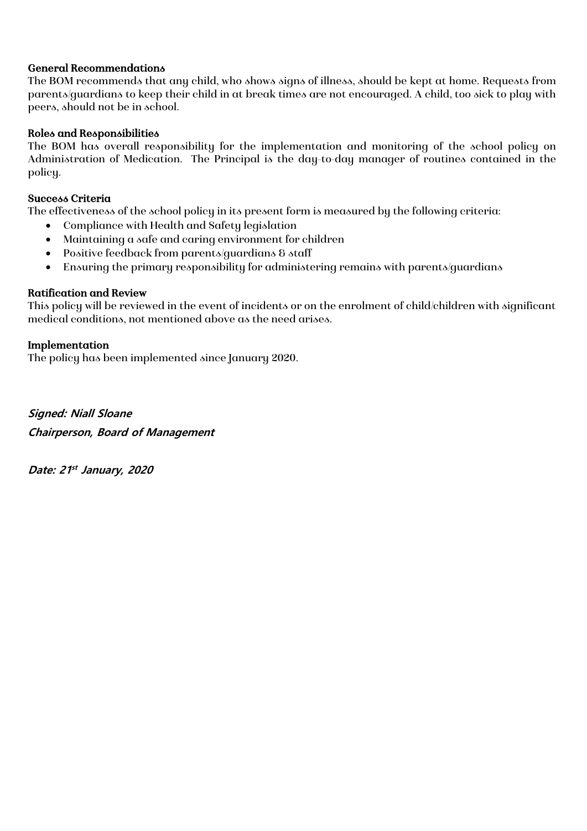## General Recommendations

The BOM recommends that any child, who shows signs of illness, should be kept at home. Requests from parents/guardians to keep their child in at break times are not encouraged. A child, too sick to play with peers, should not be in school.

## Roles and Responsibilities

The BOM has overall responsibility for the implementation and monitoring of the school policy on Administration of Medication. The Principal is the day-to-day manager of routines contained in the policy.

## Success Criteria

The effectiveness of the school policy in its present form is measured by the following criteria:

- Compliance with Health and Safety legislation
- Maintaining a safe and caring environment for children
- Positive feedback from parents/guardians & staff
- Ensuring the primary responsibility for administering remains with parents/guardians

## Ratification and Review

This policy will be reviewed in the event of incidents or on the enrolment of child/children with significant medical conditions, not mentioned above as the need arises.

## Implementation

The policy has been implemented since January 2020.

**Signed: Niall Sloane Chairperson, Board of Management** 

**Date: 21 st January, 2020**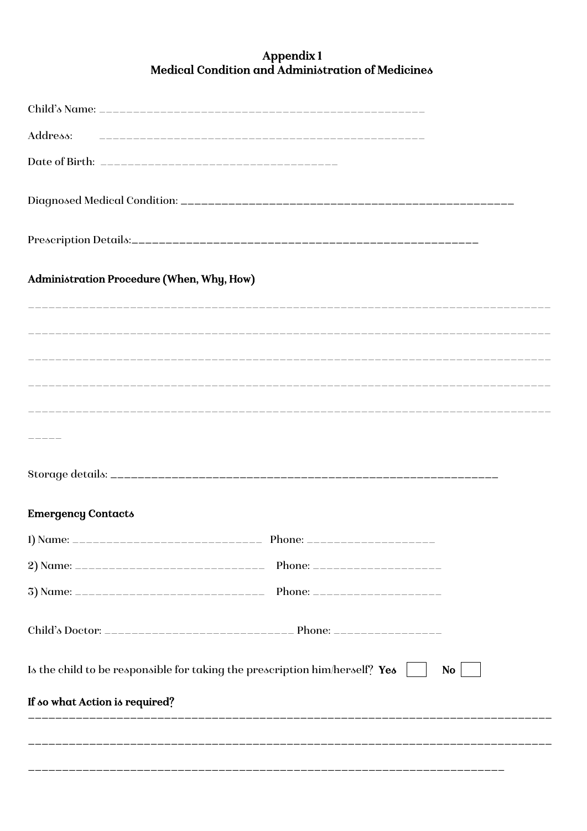# Appendix 1<br>Medical Condition and Administration of Medicines

| Address:                                  |                                                                             |           |
|-------------------------------------------|-----------------------------------------------------------------------------|-----------|
|                                           |                                                                             |           |
|                                           |                                                                             |           |
|                                           |                                                                             |           |
| Administration Procedure (When, Why, How) |                                                                             |           |
|                                           |                                                                             |           |
|                                           |                                                                             |           |
|                                           |                                                                             |           |
|                                           |                                                                             |           |
|                                           |                                                                             |           |
| <b>Emergency Contacts</b>                 |                                                                             |           |
|                                           |                                                                             |           |
|                                           |                                                                             |           |
|                                           |                                                                             |           |
|                                           |                                                                             |           |
|                                           | Is the child to be responsible for taking the prescription him/herself? Yes | <b>No</b> |
| If so what Action is required?            |                                                                             |           |
|                                           |                                                                             |           |
|                                           |                                                                             |           |
|                                           |                                                                             |           |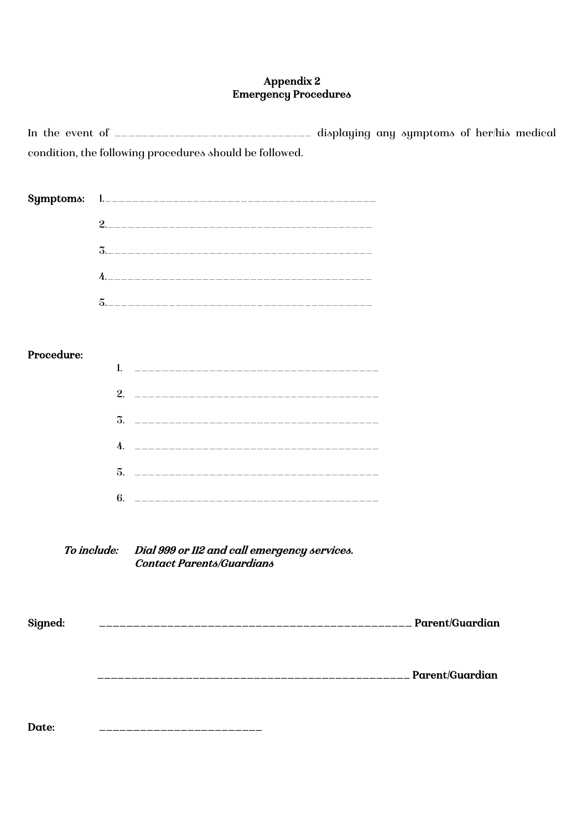## Appendix 2 Emergency Procedures

In the event of \_\_\_\_\_\_\_\_\_\_\_\_\_\_\_\_\_\_\_\_\_\_\_\_\_\_\_\_\_ displaying any symptoms of her/his medical condition, the following procedures should be followed.

| Symptoms:   |                                                                                  |  |
|-------------|----------------------------------------------------------------------------------|--|
|             |                                                                                  |  |
|             |                                                                                  |  |
|             |                                                                                  |  |
|             |                                                                                  |  |
|             |                                                                                  |  |
| Procedure:  |                                                                                  |  |
|             |                                                                                  |  |
|             |                                                                                  |  |
|             |                                                                                  |  |
|             |                                                                                  |  |
|             |                                                                                  |  |
|             |                                                                                  |  |
|             |                                                                                  |  |
| To include: | Dial 999 or 112 and call emergency services.<br><b>Contact Parents/Guardians</b> |  |
| Signed:     |                                                                                  |  |
|             |                                                                                  |  |
| Date:       |                                                                                  |  |